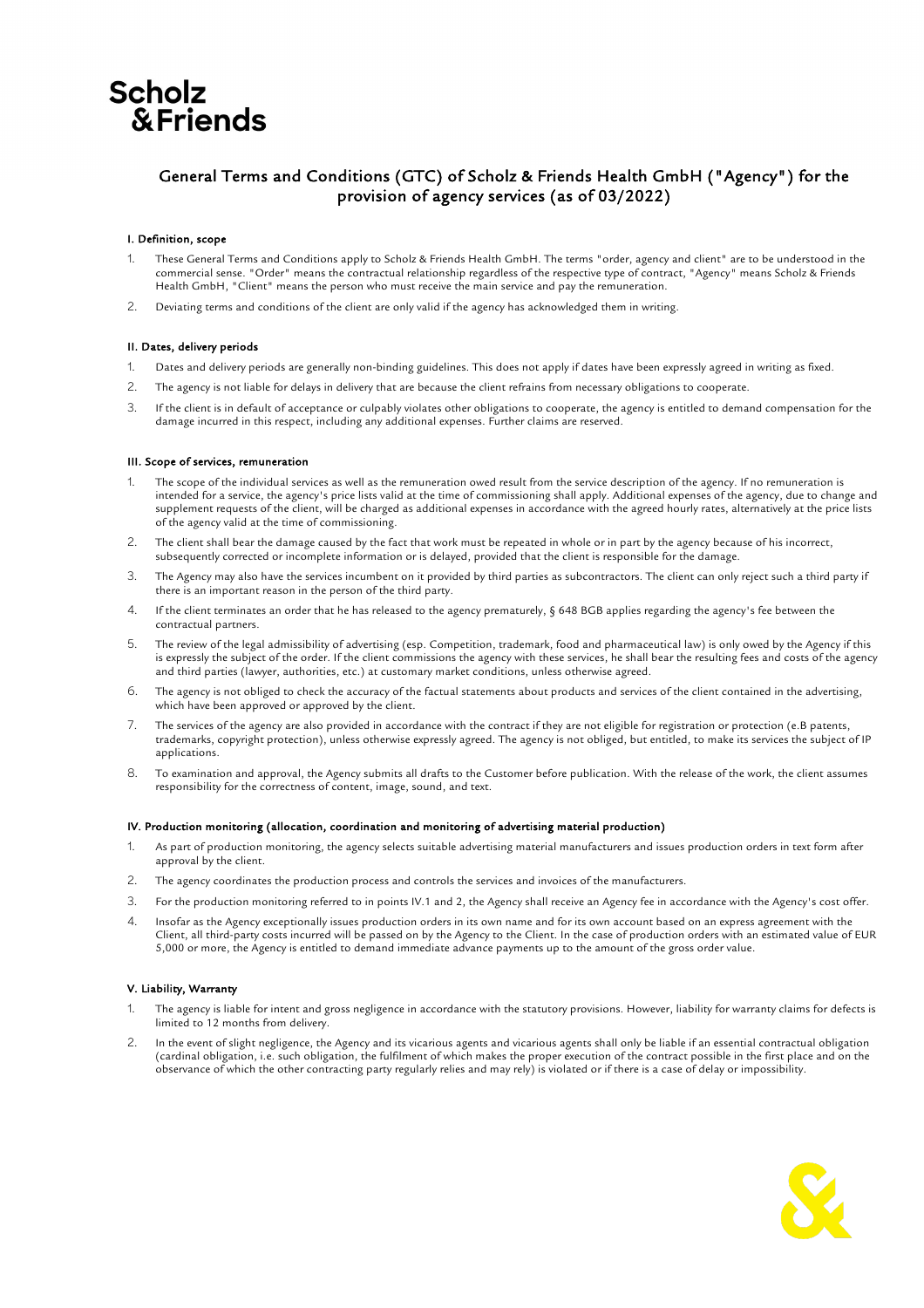# **Scholz &Friends**

# General Terms and Conditions (GTC) of Scholz & Friends Health GmbH ("Agency") for the provision of agency services (as of 03/2022)

## I. Definition, scope

- These General Terms and Conditions apply to Scholz & Friends Health GmbH. The terms "order, agency and client" are to be understood in the commercial sense. "Order" means the contractual relationship regardless of the respective type of contract, "Agency" means Scholz & Friends Health GmbH, "Client" means the person who must receive the main service and pay the remuneration.
- 2. Deviating terms and conditions of the client are only valid if the agency has acknowledged them in writing.

### II. Dates, delivery periods

- 1. Dates and delivery periods are generally non-binding guidelines. This does not apply if dates have been expressly agreed in writing as fixed.
- 2. The agency is not liable for delays in delivery that are because the client refrains from necessary obligations to cooperate.
- 3. If the client is in default of acceptance or culpably violates other obligations to cooperate, the agency is entitled to demand compensation for the damage incurred in this respect, including any additional expenses. Further claims are reserved.

### III. Scope of services, remuneration

- 1. The scope of the individual services as well as the remuneration owed result from the service description of the agency. If no remuneration is intended for a service, the agency's price lists valid at the time of commissioning shall apply. Additional expenses of the agency, due to change and supplement requests of the client, will be charged as additional expenses in accordance with the agreed hourly rates, alternatively at the price lists of the agency valid at the time of commissioning.
- 2. The client shall bear the damage caused by the fact that work must be repeated in whole or in part by the agency because of his incorrect, subsequently corrected or incomplete information or is delayed, provided that the client is responsible for the damage.
- 3. The Agency may also have the services incumbent on it provided by third parties as subcontractors. The client can only reject such a third party if there is an important reason in the person of the third party.
- 4. If the client terminates an order that he has released to the agency prematurely, § 648 BGB applies regarding the agency's fee between the contractual partners.
- 5. The review of the legal admissibility of advertising (esp. Competition, trademark, food and pharmaceutical law) is only owed by the Agency if this is expressly the subject of the order. If the client commissions the agency with these services, he shall bear the resulting fees and costs of the agency and third parties (lawyer, authorities, etc.) at customary market conditions, unless otherwise agreed.
- 6. The agency is not obliged to check the accuracy of the factual statements about products and services of the client contained in the advertising, which have been approved or approved by the client.
- 7. The services of the agency are also provided in accordance with the contract if they are not eligible for registration or protection (e.B patents, trademarks, copyright protection), unless otherwise expressly agreed. The agency is not obliged, but entitled, to make its services the subject of IP applications.
- 8. To examination and approval, the Agency submits all drafts to the Customer before publication. With the release of the work, the client assumes responsibility for the correctness of content, image, sound, and text.

### IV. Production monitoring (allocation, coordination and monitoring of advertising material production)

- 1. As part of production monitoring, the agency selects suitable advertising material manufacturers and issues production orders in text form after approval by the client.
- 2. The agency coordinates the production process and controls the services and invoices of the manufacturers.
- 3. For the production monitoring referred to in points IV.1 and 2, the Agency shall receive an Agency fee in accordance with the Agency's cost offer.
- 4. Insofar as the Agency exceptionally issues production orders in its own name and for its own account based on an express agreement with the Client, all third-party costs incurred will be passed on by the Agency to the Client. In the case of production orders with an estimated value of EUR 5,000 or more, the Agency is entitled to demand immediate advance payments up to the amount of the gross order value.

### V. Liability, Warranty

- The agency is liable for intent and gross negligence in accordance with the statutory provisions. However, liability for warranty claims for defects is limited to 12 months from delivery.
- 2. In the event of slight negligence, the Agency and its vicarious agents and vicarious agents shall only be liable if an essential contractual obligation (cardinal obligation, i.e. such obligation, the fulfilment of which makes the proper execution of the contract possible in the first place and on the observance of which the other contracting party regularly relies and may rely) is violated or if there is a case of delay or impossibility.